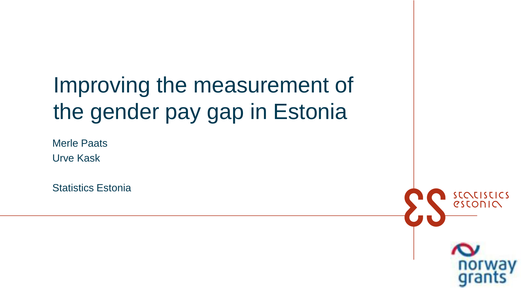# Improving the measurement of the gender pay gap in Estonia

Merle Paats Urve Kask

Statistics Estonia

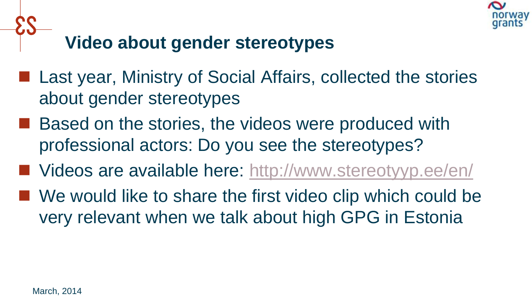

## **Video about gender stereotypes**

- Last year, Ministry of Social Affairs, collected the stories about gender stereotypes
- Based on the stories, the videos were produced with professional actors: Do you see the stereotypes?
- Videos are available here:<http://www.stereotyyp.ee/en/>
- We would like to share the first video clip which could be very relevant when we talk about high GPG in Estonia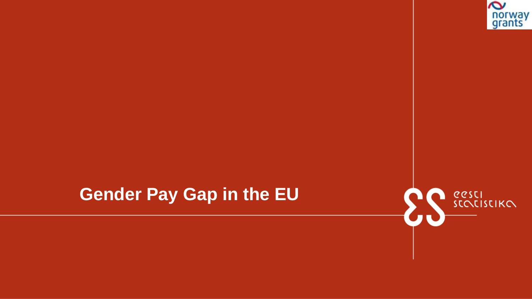

### **Gender Pay Gap in the EU**

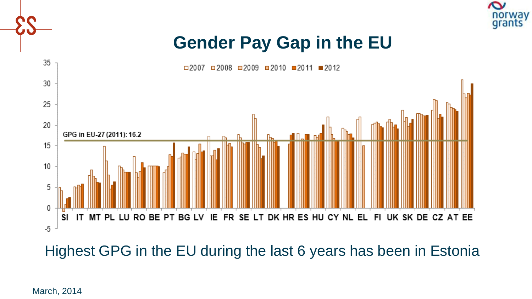

### **Gender Pay Gap in the EU**



Highest GPG in the EU during the last 6 years has been in Estonia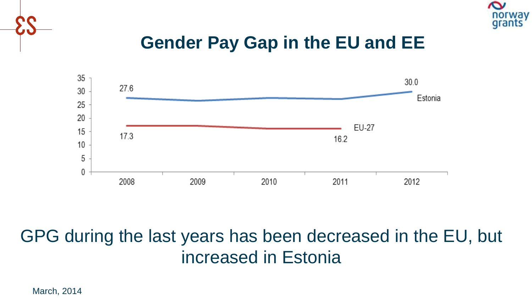

### **Gender Pay Gap in the EU and EE**



### GPG during the last years has been decreased in the EU, but increased in Estonia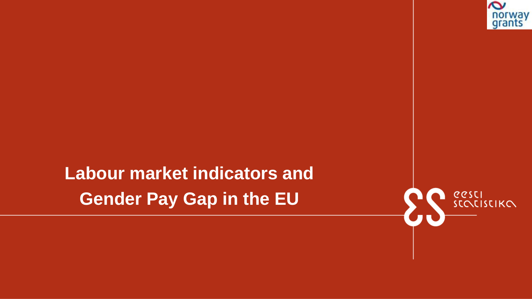

**Labour market indicators and Gender Pay Gap in the EU**

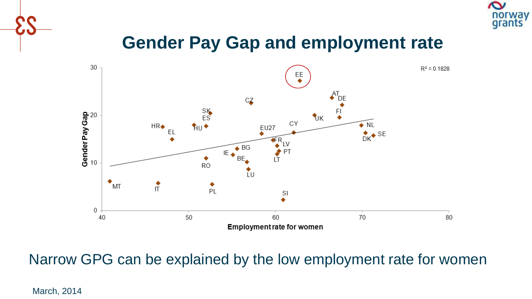

### **Gender Pay Gap and employment rate**



Narrow GPG can be explained by the low employment rate for women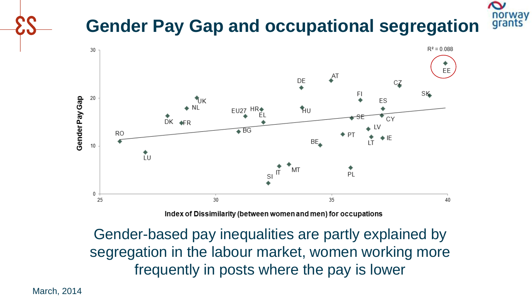### norwav **Gender Pay Gap and occupational segregation**



Index of Dissimilarity (between women and men) for occupations

Gender-based pay inequalities are partly explained by segregation in the labour market, women working more frequently in posts where the pay is lower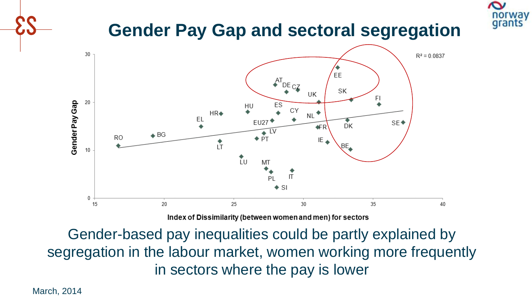

### **Gender Pay Gap and sectoral segregation**



Index of Dissimilarity (between women and men) for sectors

Gender-based pay inequalities could be partly explained by segregation in the labour market, women working more frequently in sectors where the pay is lower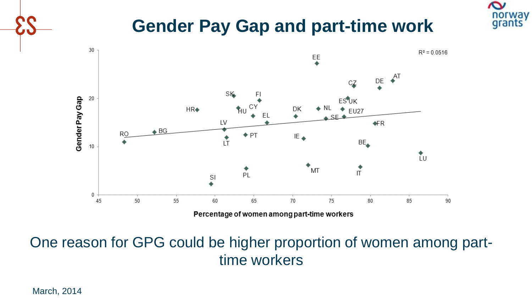### **Gender Pay Gap and part-time work**

 $\sim$ 

norway



One reason for GPG could be higher proportion of women among parttime workers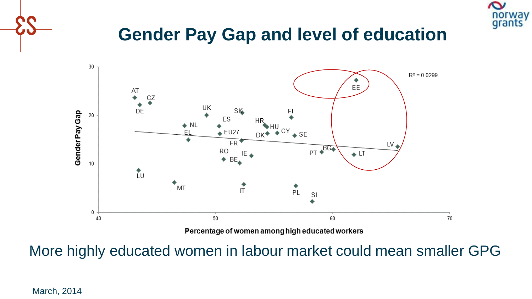

### **Gender Pay Gap and level of education**



More highly educated women in labour market could mean smaller GPG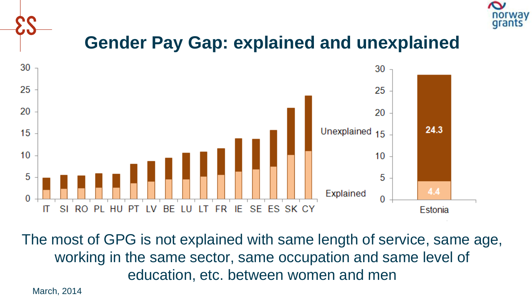

### **Gender Pay Gap: explained and unexplained**



The most of GPG is not explained with same length of service, same age, working in the same sector, same occupation and same level of education, etc. between women and men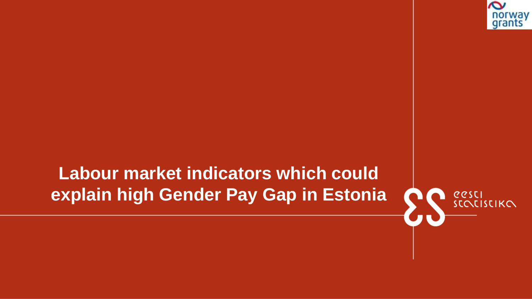

## **Labour market indicators which could explain high Gender Pay Gap in Estonia**

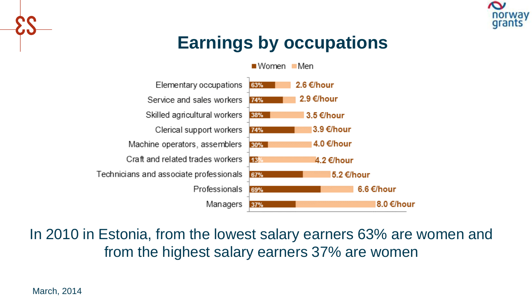

# **Earnings by occupations**

 $\blacksquare$  Women  $\blacksquare$  Men



In 2010 in Estonia, from the lowest salary earners 63% are women and from the highest salary earners 37% are women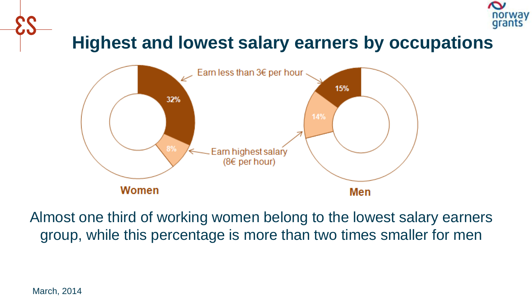

### **Highest and lowest salary earners by occupations**



Almost one third of working women belong to the lowest salary earners group, while this percentage is more than two times smaller for men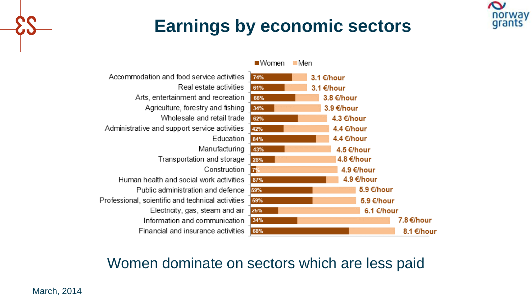### **Earnings by economic sectors**

 $\sim$ 

norway grants



### Women dominate on sectors which are less paid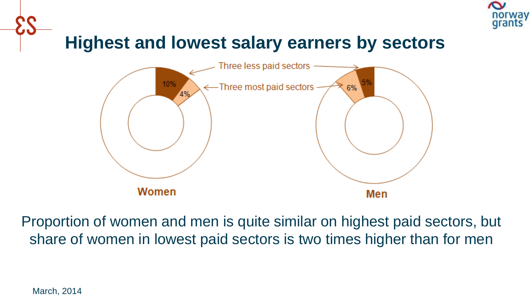

### **Highest and lowest salary earners by sectors**



Proportion of women and men is quite similar on highest paid sectors, but share of women in lowest paid sectors is two times higher than for men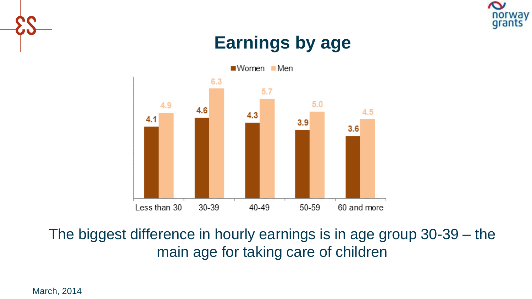

### **Earnings by age**



The biggest difference in hourly earnings is in age group 30-39 – the main age for taking care of children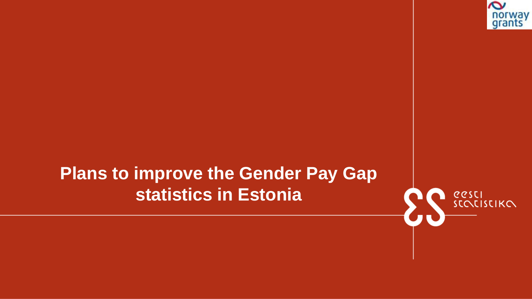

### **Plans to improve the Gender Pay Gap statistics in Estonia**

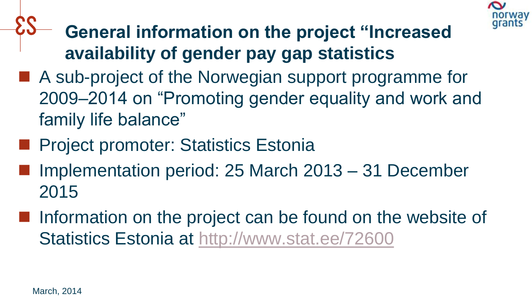

- **General information on the project "Increased availability of gender pay gap statistics**
- A sub-project of the Norwegian support programme for 2009–2014 on "Promoting gender equality and work and family life balance"
- **Project promoter: Statistics Estonia**
- Implementation period: 25 March 2013 31 December 2015
- **Information on the project can be found on the website of** Statistics Estonia at <http://www.stat.ee/72600>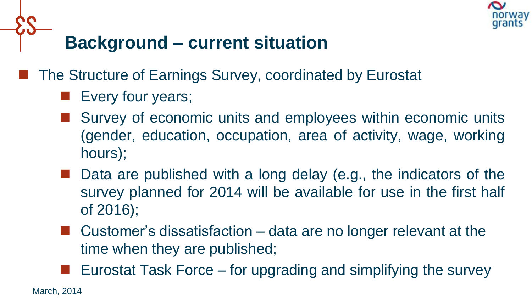

## **Background – current situation**

The Structure of Earnings Survey, coordinated by Eurostat

- **Exery four years;**
- Survey of economic units and employees within economic units (gender, education, occupation, area of activity, wage, working hours);
- Data are published with a long delay (e.g., the indicators of the survey planned for 2014 will be available for use in the first half of 2016);
- **E** Customer's dissatisfaction  $-$  data are no longer relevant at the time when they are published;
- Eurostat Task Force for upgrading and simplifying the survey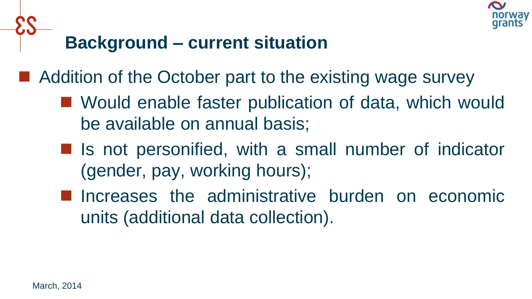

### **Background – current situation**

■ Addition of the October part to the existing wage survey

- Would enable faster publication of data, which would be available on annual basis;
- Is not personified, with a small number of indicator (gender, pay, working hours);
- **Increases the administrative burden on economic** units (additional data collection).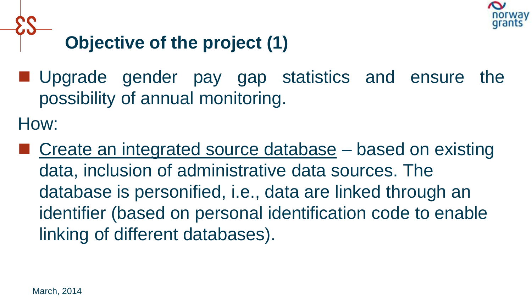

# **Objective of the project (1)**

**Upgrade gender pay gap statistics and ensure the** possibility of annual monitoring.

How:

 Create an integrated source database – based on existing data, inclusion of administrative data sources. The database is personified, i.e., data are linked through an identifier (based on personal identification code to enable linking of different databases).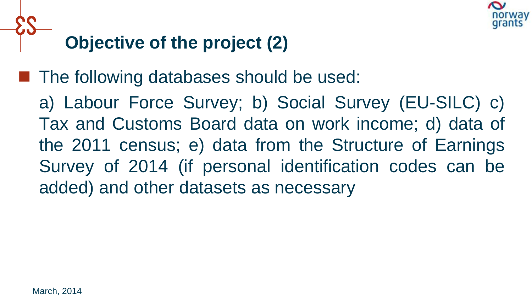

# **Objective of the project (2)**

■ The following databases should be used:

a) Labour Force Survey; b) Social Survey (EU-SILC) c) Tax and Customs Board data on work income; d) data of the 2011 census; e) data from the Structure of Earnings Survey of 2014 (if personal identification codes can be added) and other datasets as necessary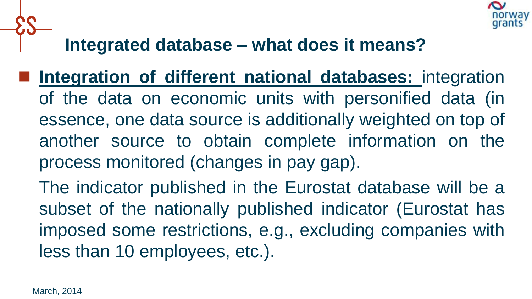

### **Integrated database – what does it means?**

- **Integration of different national databases:** integration of the data on economic units with personified data (in essence, one data source is additionally weighted on top of another source to obtain complete information on the process monitored (changes in pay gap).
	- The indicator published in the Eurostat database will be a subset of the nationally published indicator (Eurostat has imposed some restrictions, e.g., excluding companies with less than 10 employees, etc.).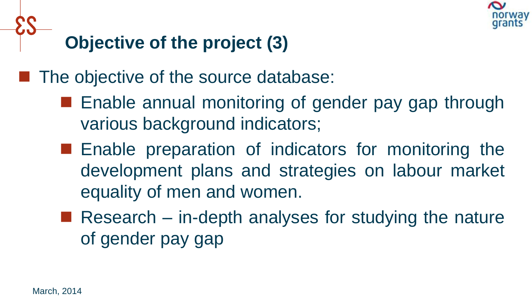

# **Objective of the project (3)**

 $\blacksquare$  The objective of the source database:

- **E** Enable annual monitoring of gender pay gap through various background indicators;
- **E** Enable preparation of indicators for monitoring the development plans and strategies on labour market equality of men and women.
- Research in-depth analyses for studying the nature of gender pay gap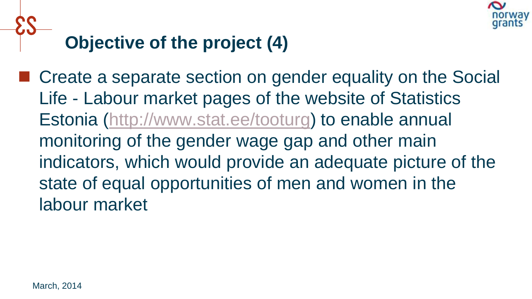

# **Objective of the project (4)**

■ Create a separate section on gender equality on the Social Life - Labour market pages of the website of Statistics Estonia (<http://www.stat.ee/tooturg>) to enable annual monitoring of the gender wage gap and other main indicators, which would provide an adequate picture of the state of equal opportunities of men and women in the labour market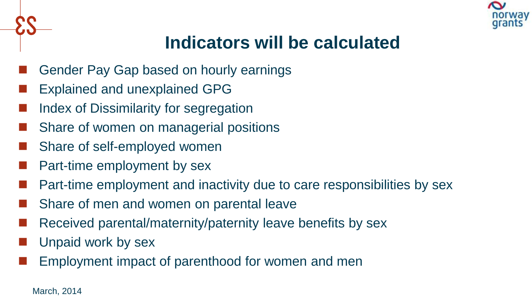

## **Indicators will be calculated**

- Gender Pay Gap based on hourly earnings
- Explained and unexplained GPG
- Index of Dissimilarity for segregation
- Share of women on managerial positions
- Share of self-employed women
- Part-time employment by sex
- Part-time employment and inactivity due to care responsibilities by sex
- Share of men and women on parental leave
- Received parental/maternity/paternity leave benefits by sex
- Unpaid work by sex
- Employment impact of parenthood for women and men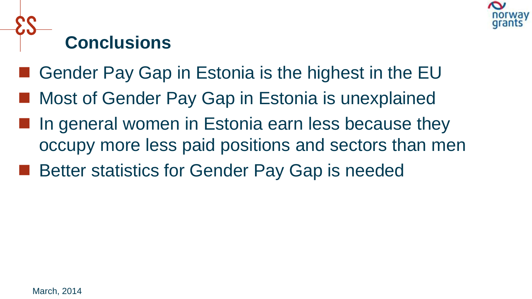

# **Conclusions**

- Gender Pay Gap in Estonia is the highest in the EU
- Most of Gender Pay Gap in Estonia is unexplained
- **If** In general women in Estonia earn less because they occupy more less paid positions and sectors than men
- Better statistics for Gender Pay Gap is needed